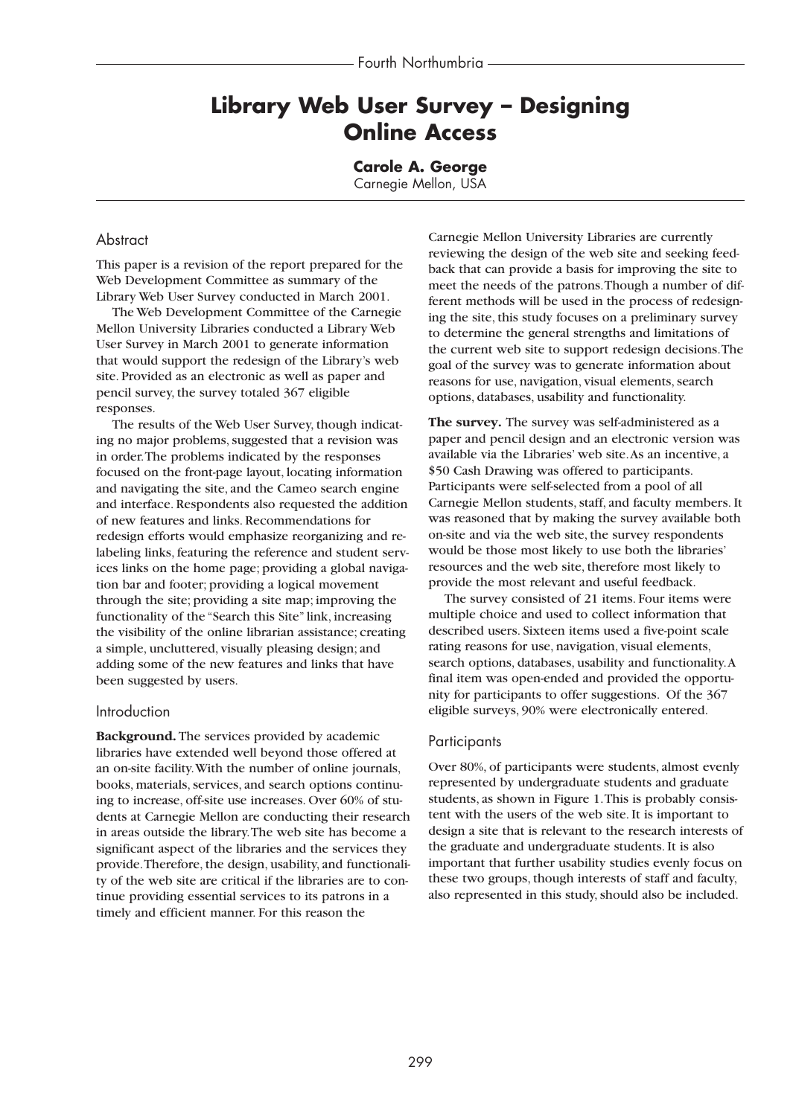# **Library Web User Survey – Designing Online Access**

**Carole A. George**

Carnegie Mellon, USA

### Abstract

This paper is a revision of the report prepared for the Web Development Committee as summary of the Library Web User Survey conducted in March 2001.

The Web Development Committee of the Carnegie Mellon University Libraries conducted a Library Web User Survey in March 2001 to generate information that would support the redesign of the Library's web site. Provided as an electronic as well as paper and pencil survey, the survey totaled 367 eligible responses.

The results of the Web User Survey, though indicating no major problems, suggested that a revision was in order.The problems indicated by the responses focused on the front-page layout, locating information and navigating the site, and the Cameo search engine and interface. Respondents also requested the addition of new features and links. Recommendations for redesign efforts would emphasize reorganizing and relabeling links, featuring the reference and student services links on the home page; providing a global navigation bar and footer; providing a logical movement through the site; providing a site map; improving the functionality of the "Search this Site" link, increasing the visibility of the online librarian assistance; creating a simple, uncluttered, visually pleasing design; and adding some of the new features and links that have been suggested by users.

### Introduction

**Background.** The services provided by academic libraries have extended well beyond those offered at an on-site facility.With the number of online journals, books, materials, services, and search options continuing to increase, off-site use increases. Over 60% of students at Carnegie Mellon are conducting their research in areas outside the library.The web site has become a significant aspect of the libraries and the services they provide.Therefore, the design, usability, and functionality of the web site are critical if the libraries are to continue providing essential services to its patrons in a timely and efficient manner. For this reason the

Carnegie Mellon University Libraries are currently reviewing the design of the web site and seeking feedback that can provide a basis for improving the site to meet the needs of the patrons.Though a number of different methods will be used in the process of redesigning the site, this study focuses on a preliminary survey to determine the general strengths and limitations of the current web site to support redesign decisions.The goal of the survey was to generate information about reasons for use, navigation, visual elements, search options, databases, usability and functionality.

**The survey.** The survey was self-administered as a paper and pencil design and an electronic version was available via the Libraries' web site.As an incentive, a \$50 Cash Drawing was offered to participants. Participants were self-selected from a pool of all Carnegie Mellon students, staff, and faculty members. It was reasoned that by making the survey available both on-site and via the web site, the survey respondents would be those most likely to use both the libraries' resources and the web site, therefore most likely to provide the most relevant and useful feedback.

The survey consisted of 21 items. Four items were multiple choice and used to collect information that described users. Sixteen items used a five-point scale rating reasons for use, navigation, visual elements, search options, databases, usability and functionality.A final item was open-ended and provided the opportunity for participants to offer suggestions. Of the 367 eligible surveys, 90% were electronically entered.

### **Participants**

Over 80%, of participants were students, almost evenly represented by undergraduate students and graduate students, as shown in Figure 1.This is probably consistent with the users of the web site. It is important to design a site that is relevant to the research interests of the graduate and undergraduate students. It is also important that further usability studies evenly focus on these two groups, though interests of staff and faculty, also represented in this study, should also be included.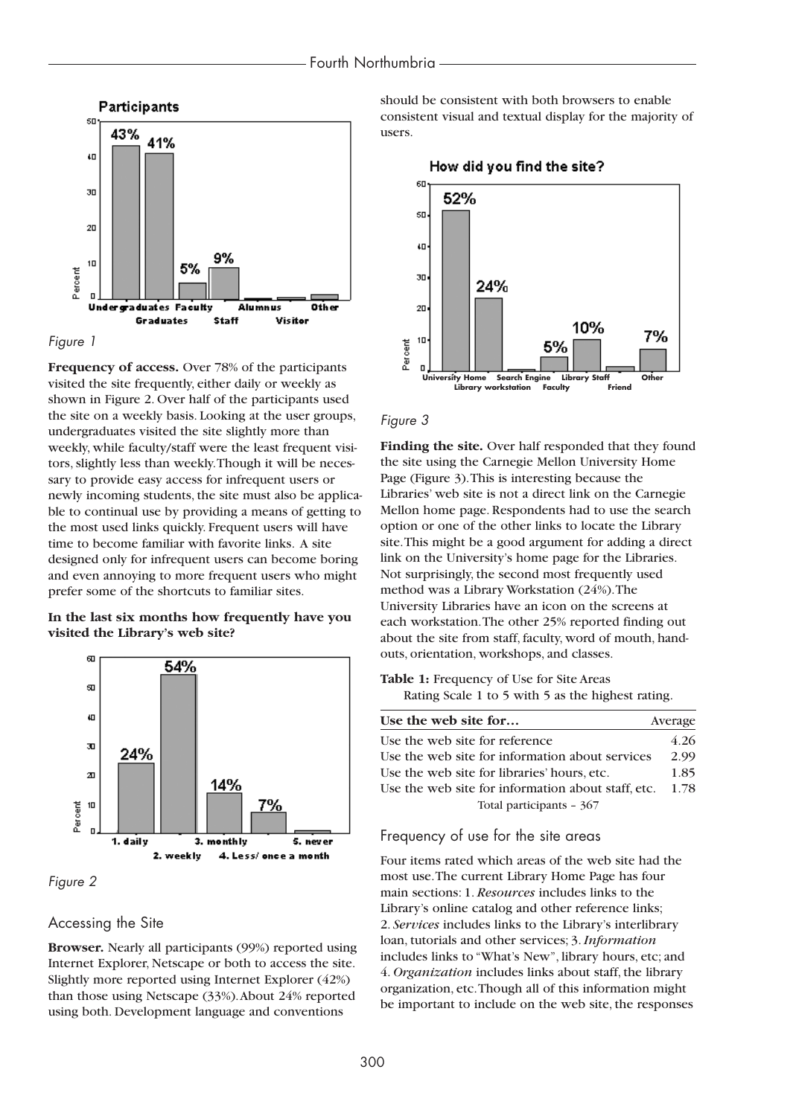



**Frequency of access.** Over 78% of the participants visited the site frequently, either daily or weekly as shown in Figure 2. Over half of the participants used the site on a weekly basis. Looking at the user groups, undergraduates visited the site slightly more than weekly, while faculty/staff were the least frequent visitors, slightly less than weekly.Though it will be necessary to provide easy access for infrequent users or newly incoming students, the site must also be applicable to continual use by providing a means of getting to the most used links quickly. Frequent users will have time to become familiar with favorite links. A site designed only for infrequent users can become boring and even annoying to more frequent users who might prefer some of the shortcuts to familiar sites.

#### **In the last six months how frequently have you visited the Library's web site?**





### Accessing the Site

**Browser.** Nearly all participants (99%) reported using Internet Explorer, Netscape or both to access the site. Slightly more reported using Internet Explorer (42%) than those using Netscape (33%).About 24% reported using both. Development language and conventions

should be consistent with both browsers to enable consistent visual and textual display for the majority of users.

How did you find the site? 60 52% 50 ¢Ω 30 24% 20 10% 7%  $1\Box$ t<br>8 5% ق<br>م  $\Box$ **University Home Search Engine Library Staff Other Library workstation Faculty Friend**

#### *Figure 3*

**Finding the site.** Over half responded that they found the site using the Carnegie Mellon University Home Page (Figure 3).This is interesting because the Libraries' web site is not a direct link on the Carnegie Mellon home page. Respondents had to use the search option or one of the other links to locate the Library site.This might be a good argument for adding a direct link on the University's home page for the Libraries. Not surprisingly, the second most frequently used method was a Library Workstation (24%).The University Libraries have an icon on the screens at each workstation.The other 25% reported finding out about the site from staff, faculty, word of mouth, handouts, orientation, workshops, and classes.

**Table 1:** Frequency of Use for Site Areas Rating Scale 1 to 5 with 5 as the highest rating.

| Use the web site for                               | Average |
|----------------------------------------------------|---------|
| Use the web site for reference                     | 4.26    |
| Use the web site for information about services    | 2.99    |
| Use the web site for libraries' hours, etc.        | 1.85    |
| Use the web site for information about staff, etc. | 1.78    |
| Total participants - 367                           |         |

### Frequency of use for the site areas

Four items rated which areas of the web site had the most use.The current Library Home Page has four main sections: 1. *Resources* includes links to the Library's online catalog and other reference links; 2. *Services* includes links to the Library's interlibrary loan, tutorials and other services; 3.*Information* includes links to "What's New", library hours, etc; and 4. *Organization* includes links about staff, the library organization, etc.Though all of this information might be important to include on the web site, the responses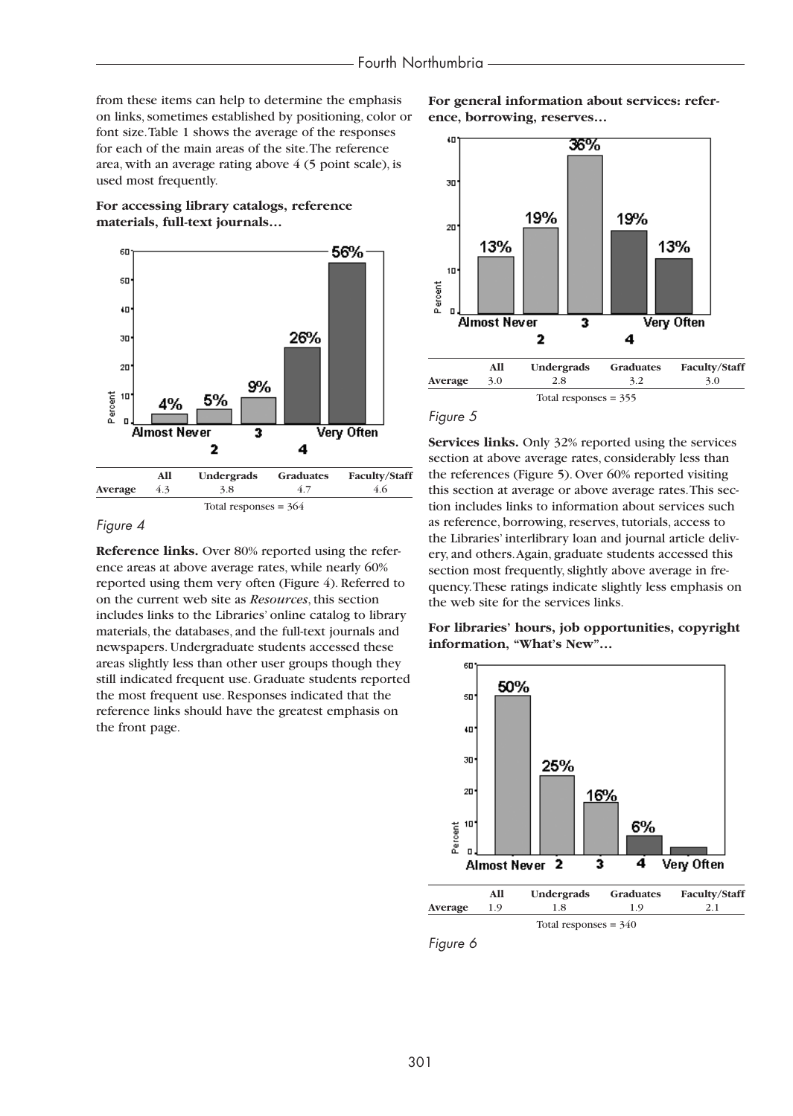from these items can help to determine the emphasis on links, sometimes established by positioning, color or font size.Table 1 shows the average of the responses for each of the main areas of the site.The reference area, with an average rating above 4 (5 point scale), is used most frequently.

**For accessing library catalogs, reference materials, full-text journals…**



### *Figure 4*

**Reference links.** Over 80% reported using the reference areas at above average rates, while nearly 60% reported using them very often (Figure 4). Referred to on the current web site as *Resources*, this section includes links to the Libraries' online catalog to library materials, the databases, and the full-text journals and newspapers. Undergraduate students accessed these areas slightly less than other user groups though they still indicated frequent use. Graduate students reported the most frequent use. Responses indicated that the reference links should have the greatest emphasis on the front page.

**For general information about services: reference, borrowing, reserves…**





**Services links.** Only 32% reported using the services section at above average rates, considerably less than the references (Figure 5). Over 60% reported visiting this section at average or above average rates.This section includes links to information about services such as reference, borrowing, reserves, tutorials, access to the Libraries' interlibrary loan and journal article delivery, and others.Again, graduate students accessed this section most frequently, slightly above average in frequency.These ratings indicate slightly less emphasis on the web site for the services links.

**For libraries' hours, job opportunities, copyright information, "What's New"…**



*Figure 6*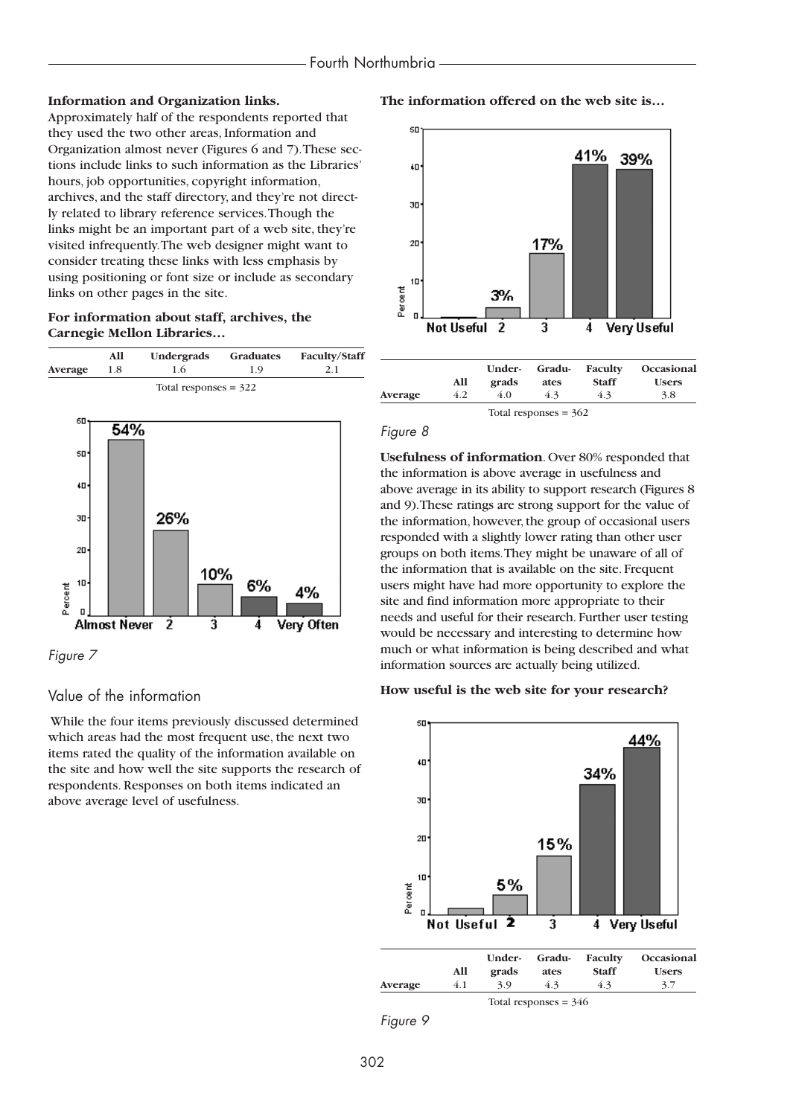### **Information and Organization links.**

Approximately half of the respondents reported that they used the two other areas, Information and Organization almost never (Figures 6 and 7).These sections include links to such information as the Libraries' hours, job opportunities, copyright information, archives, and the staff directory, and they're not directly related to library reference services.Though the links might be an important part of a web site, they're visited infrequently.The web designer might want to consider treating these links with less emphasis by using positioning or font size or include as secondary links on other pages in the site.

### **For information about staff, archives, the Carnegie Mellon Libraries…**

|                | All                 | Undergrads              | Graduates | <b>Faculty/Staff</b> |
|----------------|---------------------|-------------------------|-----------|----------------------|
| <b>Average</b> | 1.8                 | 1.6                     | 1.9       | 2.1                  |
|                |                     | Total responses $=$ 322 |           |                      |
| 60             | 54%                 |                         |           |                      |
| 50             |                     |                         |           |                      |
| ŧΩ             |                     |                         |           |                      |
| 30             |                     | 26%                     |           |                      |
| 20             |                     |                         |           |                      |
| 10<br>Percent  |                     | 10%                     | 6%        | 4%                   |
| п              | <b>Almost Never</b> | -2<br>3                 | 4         | Very Often           |

*Figure 7*

### Value of the information

While the four items previously discussed determined which areas had the most frequent use, the next two items rated the quality of the information available on the site and how well the site supports the research of respondents. Responses on both items indicated an above average level of usefulness.

**The information offered on the web site is…**



#### *Figure 8*

**Usefulness of information**. Over 80% responded that the information is above average in usefulness and above average in its ability to support research (Figures 8 and 9).These ratings are strong support for the value of the information, however, the group of occasional users responded with a slightly lower rating than other user groups on both items.They might be unaware of all of the information that is available on the site. Frequent users might have had more opportunity to explore the site and find information more appropriate to their needs and useful for their research. Further user testing would be necessary and interesting to determine how much or what information is being described and what information sources are actually being utilized.

#### **How useful is the web site for your research?**



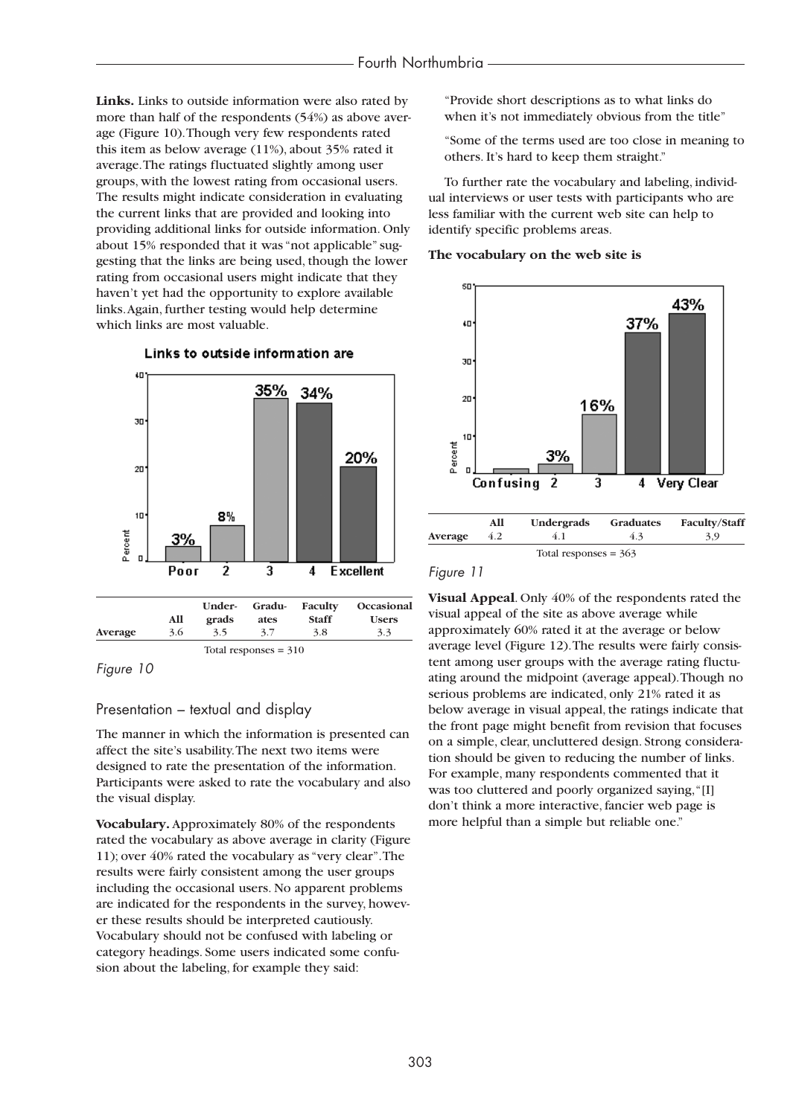**Links.** Links to outside information were also rated by more than half of the respondents (54%) as above average (Figure 10).Though very few respondents rated this item as below average (11%), about 35% rated it average.The ratings fluctuated slightly among user groups, with the lowest rating from occasional users. The results might indicate consideration in evaluating the current links that are provided and looking into providing additional links for outside information. Only about 15% responded that it was "not applicable" suggesting that the links are being used, though the lower rating from occasional users might indicate that they haven't yet had the opportunity to explore available links.Again, further testing would help determine which links are most valuable.



### Links to outside information are

*Figure 10*

### Presentation – textual and display

The manner in which the information is presented can affect the site's usability.The next two items were designed to rate the presentation of the information. Participants were asked to rate the vocabulary and also the visual display.

**Vocabulary.** Approximately 80% of the respondents rated the vocabulary as above average in clarity (Figure 11); over 40% rated the vocabulary as "very clear".The results were fairly consistent among the user groups including the occasional users. No apparent problems are indicated for the respondents in the survey, however these results should be interpreted cautiously. Vocabulary should not be confused with labeling or category headings. Some users indicated some confusion about the labeling, for example they said:

"Provide short descriptions as to what links do when it's not immediately obvious from the title"

"Some of the terms used are too close in meaning to others. It's hard to keep them straight."

To further rate the vocabulary and labeling, individual interviews or user tests with participants who are less familiar with the current web site can help to identify specific problems areas.

### **The vocabulary on the web site is**



### *Figure 11*

**Visual Appeal**. Only 40% of the respondents rated the visual appeal of the site as above average while approximately 60% rated it at the average or below average level (Figure 12).The results were fairly consistent among user groups with the average rating fluctuating around the midpoint (average appeal).Though no serious problems are indicated, only 21% rated it as below average in visual appeal, the ratings indicate that the front page might benefit from revision that focuses on a simple, clear, uncluttered design. Strong consideration should be given to reducing the number of links. For example, many respondents commented that it was too cluttered and poorly organized saying,"[I] don't think a more interactive, fancier web page is more helpful than a simple but reliable one."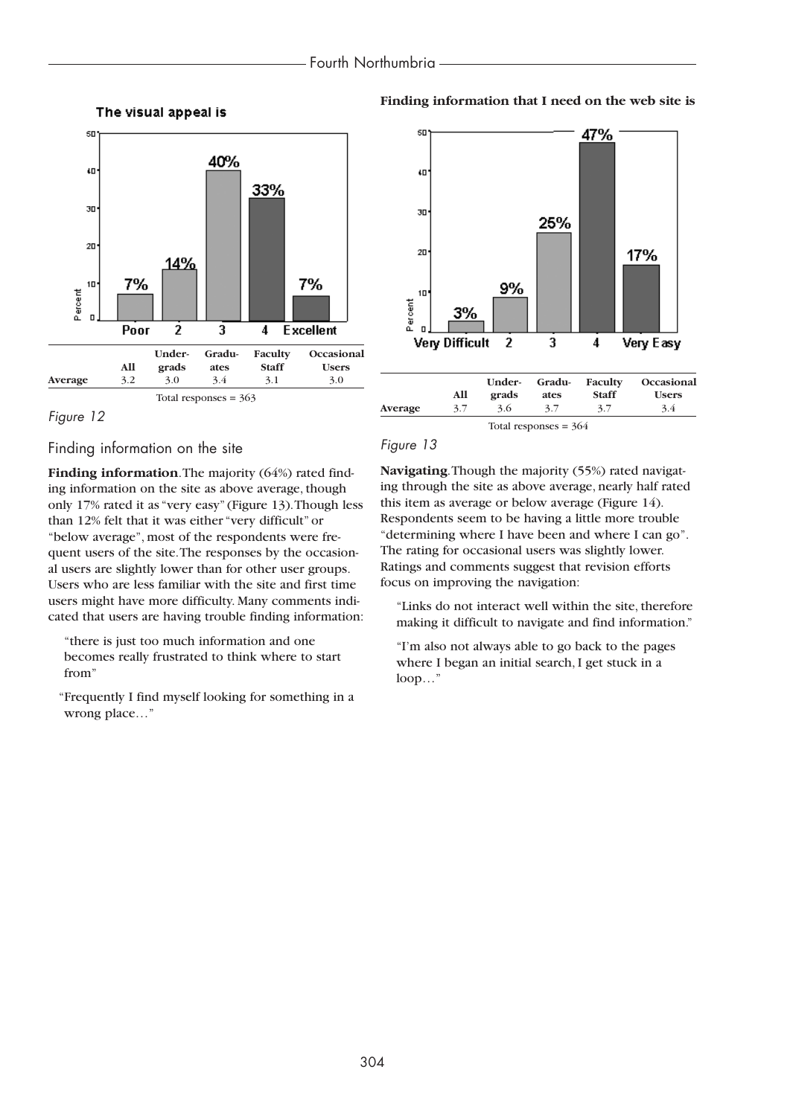



### Finding information on the site

**Finding information**. The majority (64%) rated finding information on the site as above average, though only 17% rated it as "very easy" (Figure 13).Though less than 12% felt that it was either "very difficult" or "below average", most of the respondents were frequent users of the site.The responses by the occasional users are slightly lower than for other user groups. Users who are less familiar with the site and first time users might have more difficulty. Many comments indicated that users are having trouble finding information:

"there is just too much information and one becomes really frustrated to think where to start from"

"Frequently I find myself looking for something in a wrong place…"

### **Finding information that I need on the web site is**





### *Figure 13*

**Navigating**.Though the majority (55%) rated navigating through the site as above average, nearly half rated this item as average or below average (Figure 14). Respondents seem to be having a little more trouble "determining where I have been and where I can go". The rating for occasional users was slightly lower. Ratings and comments suggest that revision efforts focus on improving the navigation:

"Links do not interact well within the site, therefore making it difficult to navigate and find information."

"I'm also not always able to go back to the pages where I began an initial search, I get stuck in a loop…"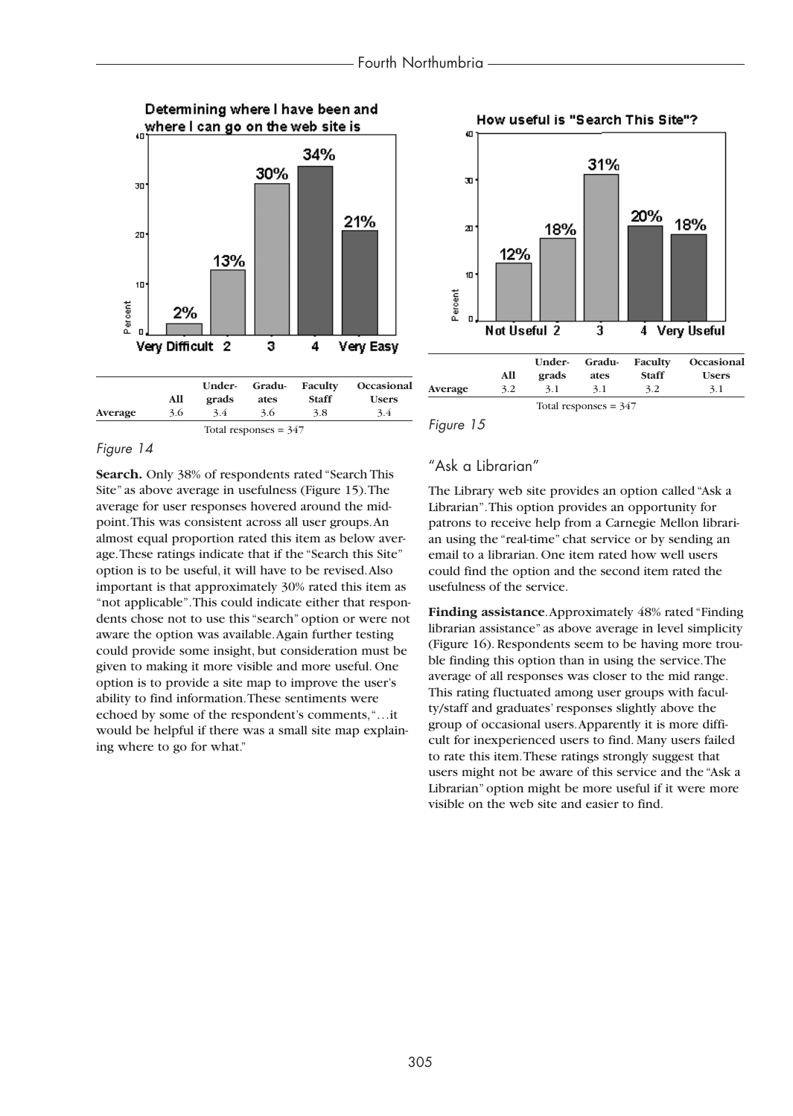



*Figure 15*

### *Figure 14*

**Search.** Only 38% of respondents rated "Search This Site" as above average in usefulness (Figure 15).The average for user responses hovered around the midpoint.This was consistent across all user groups.An almost equal proportion rated this item as below average.These ratings indicate that if the "Search this Site" option is to be useful, it will have to be revised.Also important is that approximately 30% rated this item as "not applicable".This could indicate either that respondents chose not to use this "search" option or were not aware the option was available.Again further testing could provide some insight, but consideration must be given to making it more visible and more useful. One option is to provide a site map to improve the user's ability to find information.These sentiments were echoed by some of the respondent's comments,"…it would be helpful if there was a small site map explaining where to go for what."

### "Ask a Librarian"

The Library web site provides an option called "Ask a Librarian".This option provides an opportunity for patrons to receive help from a Carnegie Mellon librarian using the "real-time" chat service or by sending an email to a librarian. One item rated how well users could find the option and the second item rated the usefulness of the service.

**Finding assistance**.Approximately 48% rated "Finding librarian assistance" as above average in level simplicity (Figure 16). Respondents seem to be having more trouble finding this option than in using the service.The average of all responses was closer to the mid range. This rating fluctuated among user groups with faculty/staff and graduates' responses slightly above the group of occasional users.Apparently it is more difficult for inexperienced users to find. Many users failed to rate this item.These ratings strongly suggest that users might not be aware of this service and the "Ask a Librarian" option might be more useful if it were more visible on the web site and easier to find.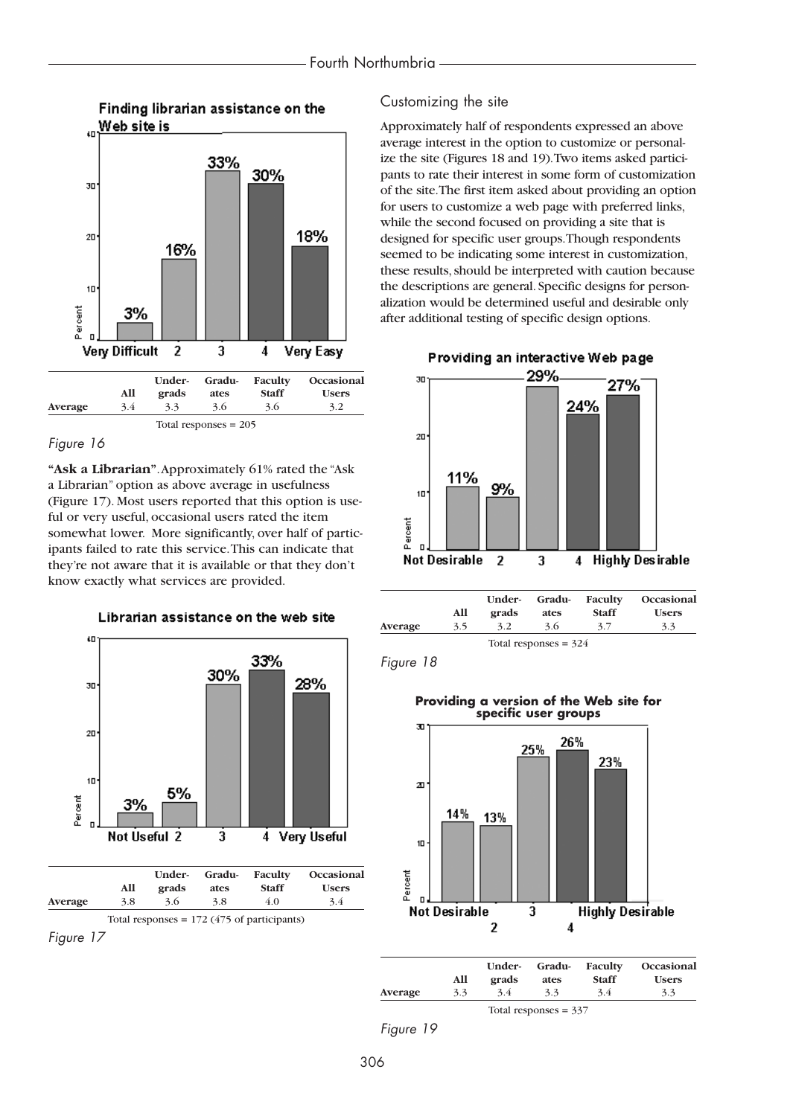

### *Figure 16*

**"Ask a Librarian"**.Approximately 61% rated the "Ask a Librarian" option as above average in usefulness (Figure 17). Most users reported that this option is useful or very useful, occasional users rated the item somewhat lower. More significantly, over half of participants failed to rate this service.This can indicate that they're not aware that it is available or that they don't know exactly what services are provided.







### Customizing the site

Approximately half of respondents expressed an above average interest in the option to customize or personalize the site (Figures 18 and 19).Two items asked participants to rate their interest in some form of customization of the site.The first item asked about providing an option for users to customize a web page with preferred links, while the second focused on providing a site that is designed for specific user groups.Though respondents seemed to be indicating some interest in customization, these results, should be interpreted with caution because the descriptions are general. Specific designs for personalization would be determined useful and desirable only after additional testing of specific design options.



|         | All | Under-<br>grads | Gradu-<br>ates          | Faculty<br><b>Staff</b> | Occasional<br><b>Users</b> |
|---------|-----|-----------------|-------------------------|-------------------------|----------------------------|
| Average | 3.5 | 3.2             | 3.6                     | 3.7                     | 3.3                        |
|         |     |                 | Total responses = $324$ |                         |                            |

*Figure 18*





|         | All | Under-<br>grads | Gradu-<br>ates          | Faculty<br><b>Staff</b> | Occasional<br><b>Users</b> |
|---------|-----|-----------------|-------------------------|-------------------------|----------------------------|
| Average | 3.3 | 3.4             | 3.3                     | 3.4                     | 3.3                        |
|         |     |                 | Total responses $=$ 337 |                         |                            |

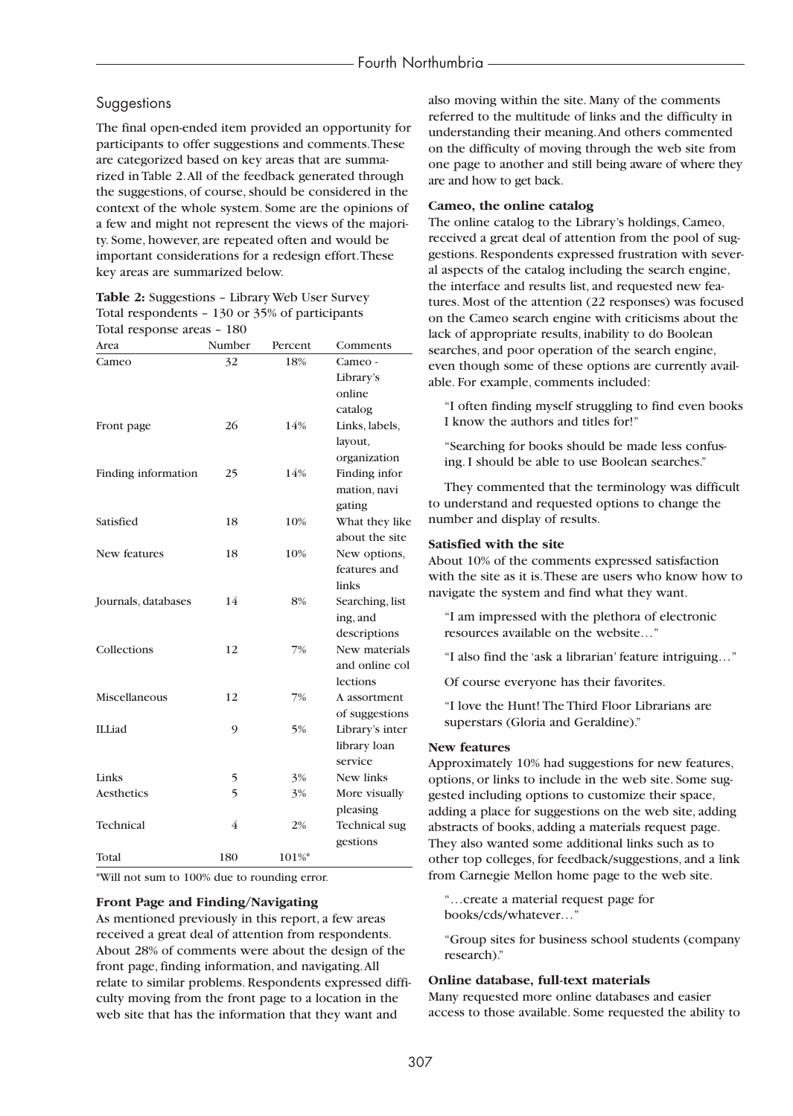### Suggestions

The final open-ended item provided an opportunity for participants to offer suggestions and comments.These are categorized based on key areas that are summarized in Table 2.All of the feedback generated through the suggestions, of course, should be considered in the context of the whole system. Some are the opinions of a few and might not represent the views of the majority. Some, however, are repeated often and would be important considerations for a redesign effort.These key areas are summarized below.

### **Table 2:** Suggestions – Library Web User Survey Total respondents – 130 or 35% of participants Total response areas – 180

| Area                | Number | Percent | Comments             |
|---------------------|--------|---------|----------------------|
| Cameo               | 32     | 18%     | Cameo -              |
|                     |        |         | Library's            |
|                     |        |         | online               |
|                     |        |         | catalog              |
| Front page          | 26     | 14%     | Links, labels,       |
|                     |        |         | layout,              |
|                     |        |         | organization         |
| Finding information | 25     | 14%     | Finding infor        |
|                     |        |         | mation, navi         |
|                     |        |         | gating               |
| Satisfied           | 18     | 10%     | What they like       |
|                     |        |         | about the site       |
| New features        | 18     | 10%     | New options,         |
|                     |        |         | features and         |
|                     |        |         | links                |
| Journals, databases | 14     | 8%      | Searching, list      |
|                     |        |         | ing, and             |
|                     |        |         | descriptions         |
| Collections         | 12     | 7%      | New materials        |
|                     |        |         | and online col       |
|                     |        |         | lections             |
| Miscellaneous       | 12     | 7%      | A assortment         |
|                     |        |         | of suggestions       |
| <b>ILLiad</b>       | 9      | 5%      | Library's inter      |
|                     |        |         | library loan         |
|                     |        |         | service              |
| Links               | 5      | 3%      | New links            |
| Aesthetics          | 5      | 3%      | More visually        |
|                     |        |         | pleasing             |
| <b>Technical</b>    | 4      | 2%      | <b>Technical</b> sug |
|                     |        |         | gestions             |
| Total               | 180    | 101%*   |                      |

\*Will not sum to 100% due to rounding error.

#### **Front Page and Finding/Navigating**

As mentioned previously in this report, a few areas received a great deal of attention from respondents. About 28% of comments were about the design of the front page, finding information, and navigating.All relate to similar problems. Respondents expressed difficulty moving from the front page to a location in the web site that has the information that they want and

also moving within the site. Many of the comments referred to the multitude of links and the difficulty in understanding their meaning.And others commented on the difficulty of moving through the web site from one page to another and still being aware of where they are and how to get back.

#### **Cameo, the online catalog**

The online catalog to the Library's holdings, Cameo, received a great deal of attention from the pool of suggestions. Respondents expressed frustration with several aspects of the catalog including the search engine, the interface and results list, and requested new features. Most of the attention (22 responses) was focused on the Cameo search engine with criticisms about the lack of appropriate results, inability to do Boolean searches, and poor operation of the search engine, even though some of these options are currently available. For example, comments included:

"I often finding myself struggling to find even books I know the authors and titles for!"

"Searching for books should be made less confusing. I should be able to use Boolean searches."

They commented that the terminology was difficult to understand and requested options to change the number and display of results.

#### **Satisfied with the site**

About 10% of the comments expressed satisfaction with the site as it is.These are users who know how to navigate the system and find what they want.

"I am impressed with the plethora of electronic resources available on the website…"

"I also find the 'ask a librarian' feature intriguing…"

Of course everyone has their favorites.

"I love the Hunt! The Third Floor Librarians are superstars (Gloria and Geraldine)."

#### **New features**

Approximately 10% had suggestions for new features, options, or links to include in the web site. Some suggested including options to customize their space, adding a place for suggestions on the web site, adding abstracts of books, adding a materials request page. They also wanted some additional links such as to other top colleges, for feedback/suggestions, and a link from Carnegie Mellon home page to the web site.

"…create a material request page for books/cds/whatever…"

"Group sites for business school students (company research)."

#### **Online database, full-text materials**

Many requested more online databases and easier access to those available. Some requested the ability to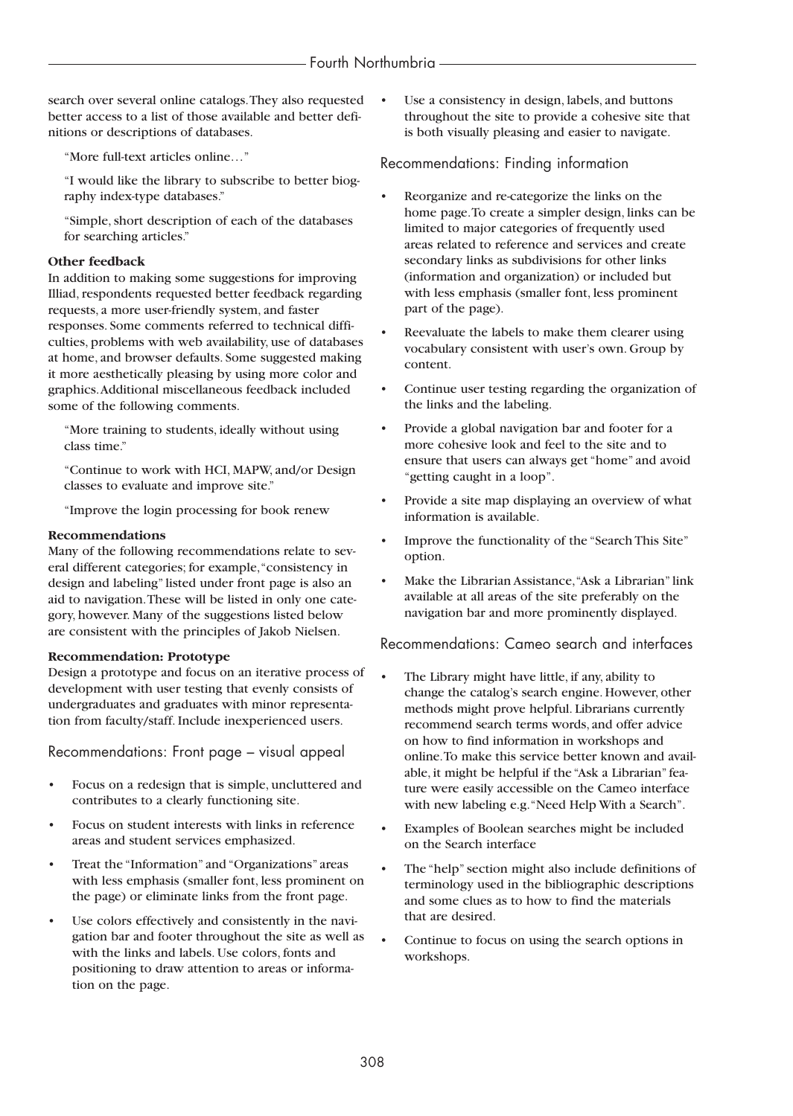search over several online catalogs.They also requested better access to a list of those available and better definitions or descriptions of databases.

"More full-text articles online…"

"I would like the library to subscribe to better biography index-type databases."

"Simple, short description of each of the databases for searching articles."

### **Other feedback**

In addition to making some suggestions for improving Illiad, respondents requested better feedback regarding requests, a more user-friendly system, and faster responses. Some comments referred to technical difficulties, problems with web availability, use of databases at home, and browser defaults. Some suggested making it more aesthetically pleasing by using more color and graphics.Additional miscellaneous feedback included some of the following comments.

"More training to students, ideally without using class time."

"Continue to work with HCI, MAPW, and/or Design classes to evaluate and improve site."

"Improve the login processing for book renew

### **Recommendations**

Many of the following recommendations relate to several different categories; for example,"consistency in design and labeling" listed under front page is also an aid to navigation.These will be listed in only one category, however. Many of the suggestions listed below are consistent with the principles of Jakob Nielsen.

### **Recommendation: Prototype**

Design a prototype and focus on an iterative process of development with user testing that evenly consists of undergraduates and graduates with minor representation from faculty/staff. Include inexperienced users.

Recommendations: Front page – visual appeal

- Focus on a redesign that is simple, uncluttered and contributes to a clearly functioning site.
- Focus on student interests with links in reference areas and student services emphasized.
- Treat the "Information" and "Organizations" areas with less emphasis (smaller font, less prominent on the page) or eliminate links from the front page.
- Use colors effectively and consistently in the navigation bar and footer throughout the site as well as with the links and labels. Use colors, fonts and positioning to draw attention to areas or information on the page.

Use a consistency in design, labels, and buttons throughout the site to provide a cohesive site that is both visually pleasing and easier to navigate.

### Recommendations: Finding information

- Reorganize and re-categorize the links on the home page.To create a simpler design, links can be limited to major categories of frequently used areas related to reference and services and create secondary links as subdivisions for other links (information and organization) or included but with less emphasis (smaller font, less prominent part of the page).
- Reevaluate the labels to make them clearer using vocabulary consistent with user's own. Group by content.
- Continue user testing regarding the organization of the links and the labeling.
- Provide a global navigation bar and footer for a more cohesive look and feel to the site and to ensure that users can always get "home" and avoid "getting caught in a loop".
- Provide a site map displaying an overview of what information is available.
- Improve the functionality of the "Search This Site" option.
- Make the Librarian Assistance,"Ask a Librarian" link available at all areas of the site preferably on the navigation bar and more prominently displayed.

Recommendations: Cameo search and interfaces

- The Library might have little, if any, ability to change the catalog's search engine. However, other methods might prove helpful. Librarians currently recommend search terms words, and offer advice on how to find information in workshops and online.To make this service better known and available, it might be helpful if the "Ask a Librarian" feature were easily accessible on the Cameo interface with new labeling e.g."Need Help With a Search".
- Examples of Boolean searches might be included on the Search interface
- The "help" section might also include definitions of terminology used in the bibliographic descriptions and some clues as to how to find the materials that are desired.
- Continue to focus on using the search options in workshops.